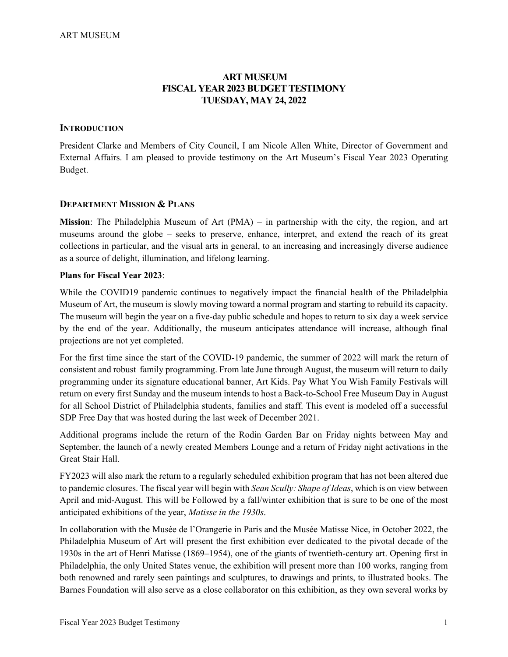# **ART MUSEUM FISCAL YEAR 2023 BUDGET TESTIMONY TUESDAY, MAY 24, 2022**

#### **INTRODUCTION**

President Clarke and Members of City Council, I am Nicole Allen White, Director of Government and External Affairs. I am pleased to provide testimony on the Art Museum's Fiscal Year 2023 Operating Budget.

## **DEPARTMENT MISSION & PLANS**

**Mission**: The Philadelphia Museum of Art (PMA) – in partnership with the city, the region, and art museums around the globe – seeks to preserve, enhance, interpret, and extend the reach of its great collections in particular, and the visual arts in general, to an increasing and increasingly diverse audience as a source of delight, illumination, and lifelong learning.

#### **Plans for Fiscal Year 2023**:

While the COVID19 pandemic continues to negatively impact the financial health of the Philadelphia Museum of Art, the museum is slowly moving toward a normal program and starting to rebuild its capacity. The museum will begin the year on a five-day public schedule and hopes to return to six day a week service by the end of the year. Additionally, the museum anticipates attendance will increase, although final projections are not yet completed.

For the first time since the start of the COVID-19 pandemic, the summer of 2022 will mark the return of consistent and robust family programming. From late June through August, the museum will return to daily programming under its signature educational banner, Art Kids. Pay What You Wish Family Festivals will return on every first Sunday and the museum intends to host a Back-to-School Free Museum Day in August for all School District of Philadelphia students, families and staff. This event is modeled off a successful SDP Free Day that was hosted during the last week of December 2021.

Additional programs include the return of the Rodin Garden Bar on Friday nights between May and September, the launch of a newly created Members Lounge and a return of Friday night activations in the Great Stair Hall.

FY2023 will also mark the return to a regularly scheduled exhibition program that has not been altered due to pandemic closures. The fiscal year will begin with *Sean Scully: Shape of Ideas*, which is on view between April and mid-August. This will be Followed by a fall/winter exhibition that is sure to be one of the most anticipated exhibitions of the year, *Matisse in the 1930s*.

In collaboration with the Musée de l'Orangerie in Paris and the Musée Matisse Nice, in October 2022, the Philadelphia Museum of Art will present the first exhibition ever dedicated to the pivotal decade of the 1930s in the art of Henri Matisse (1869–1954), one of the giants of twentieth-century art. Opening first in Philadelphia, the only United States venue, the exhibition will present more than 100 works, ranging from both renowned and rarely seen paintings and sculptures, to drawings and prints, to illustrated books. The Barnes Foundation will also serve as a close collaborator on this exhibition, as they own several works by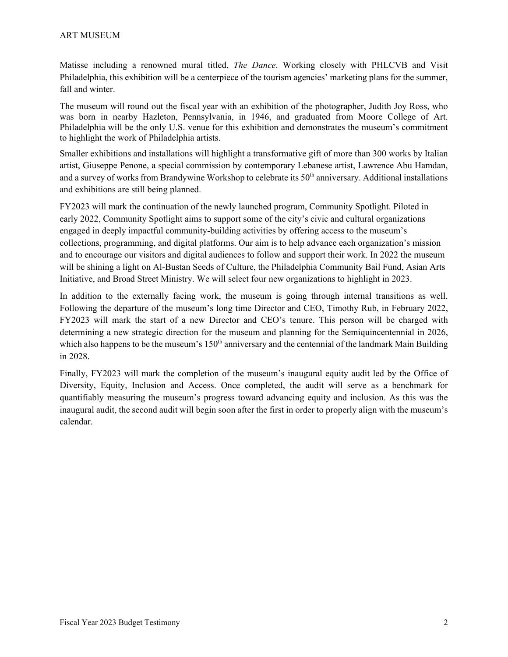Matisse including a renowned mural titled, *The Dance*. Working closely with PHLCVB and Visit Philadelphia, this exhibition will be a centerpiece of the tourism agencies' marketing plans for the summer, fall and winter.

The museum will round out the fiscal year with an exhibition of the photographer, Judith Joy Ross, who was born in nearby Hazleton, Pennsylvania, in 1946, and graduated from Moore College of Art. Philadelphia will be the only U.S. venue for this exhibition and demonstrates the museum's commitment to highlight the work of Philadelphia artists.

Smaller exhibitions and installations will highlight a transformative gift of more than 300 works by Italian artist, Giuseppe Penone, a special commission by contemporary Lebanese artist, Lawrence Abu Hamdan, and a survey of works from Brandywine Workshop to celebrate its 50<sup>th</sup> anniversary. Additional installations and exhibitions are still being planned.

FY2023 will mark the continuation of the newly launched program, Community Spotlight. Piloted in early 2022, Community Spotlight aims to support some of the city's civic and cultural organizations engaged in deeply impactful community-building activities by offering access to the museum's collections, programming, and digital platforms. Our aim is to help advance each organization's mission and to encourage our visitors and digital audiences to follow and support their work. In 2022 the museum will be shining a light on Al-Bustan Seeds of Culture, the Philadelphia Community Bail Fund, Asian Arts Initiative, and Broad Street Ministry. We will select four new organizations to highlight in 2023.

In addition to the externally facing work, the museum is going through internal transitions as well. Following the departure of the museum's long time Director and CEO, Timothy Rub, in February 2022, FY2023 will mark the start of a new Director and CEO's tenure. This person will be charged with determining a new strategic direction for the museum and planning for the Semiquincentennial in 2026, which also happens to be the museum's 150<sup>th</sup> anniversary and the centennial of the landmark Main Building in 2028.

Finally, FY2023 will mark the completion of the museum's inaugural equity audit led by the Office of Diversity, Equity, Inclusion and Access. Once completed, the audit will serve as a benchmark for quantifiably measuring the museum's progress toward advancing equity and inclusion. As this was the inaugural audit, the second audit will begin soon after the first in order to properly align with the museum's calendar.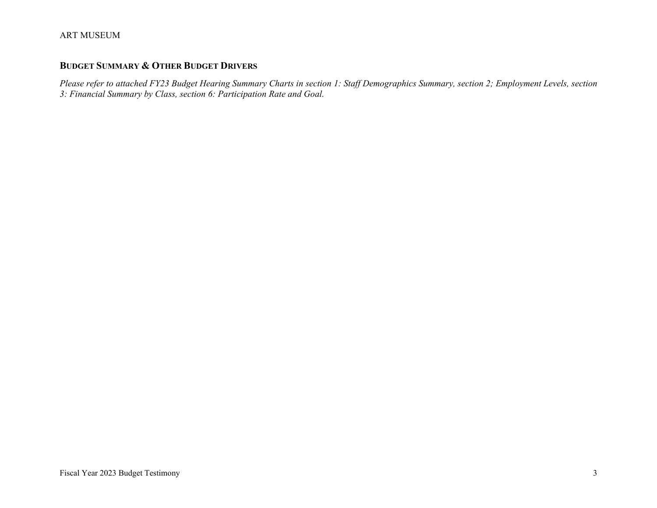# **BUDGET SUMMARY & OTHER BUDGET DRIVERS**

*Please refer to attached FY23 Budget Hearing Summary Charts in section 1: Staff Demographics Summary, section 2; Employment Levels, section 3: Financial Summary by Class, section 6: Participation Rate and Goal.*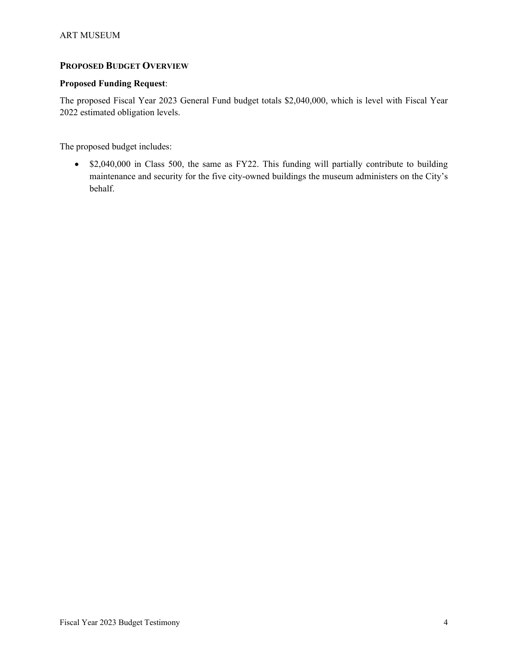# **PROPOSED BUDGET OVERVIEW**

## **Proposed Funding Request**:

The proposed Fiscal Year 2023 General Fund budget totals \$2,040,000, which is level with Fiscal Year 2022 estimated obligation levels.

The proposed budget includes:

• \$2,040,000 in Class 500, the same as FY22. This funding will partially contribute to building maintenance and security for the five city-owned buildings the museum administers on the City's behalf.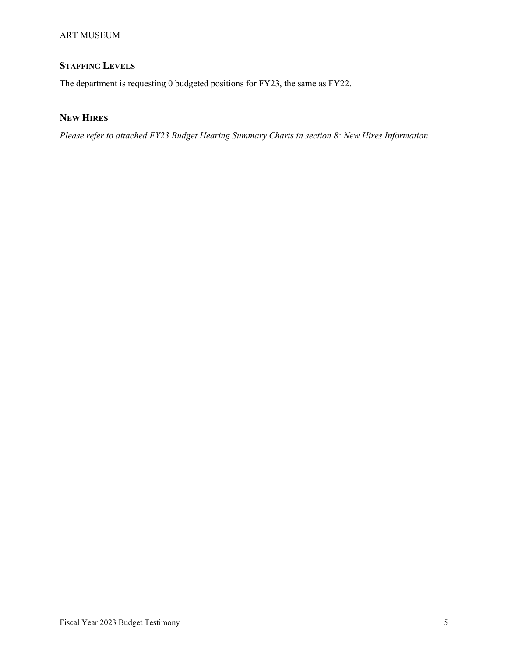#### ART MUSEUM

# **STAFFING LEVELS**

The department is requesting 0 budgeted positions for FY23, the same as FY22.

# **NEW HIRES**

*Please refer to attached FY23 Budget Hearing Summary Charts in section 8: New Hires Information.*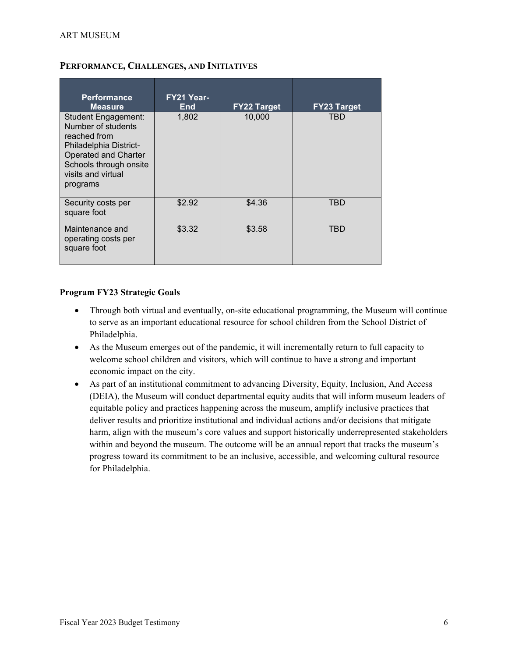| <b>Performance</b><br><b>Measure</b>                                                                                                                                           | FY21 Year-<br><b>End</b> | <b>FY22 Target</b> | <b>FY23 Target</b> |
|--------------------------------------------------------------------------------------------------------------------------------------------------------------------------------|--------------------------|--------------------|--------------------|
| Student Engagement:<br>Number of students<br>reached from<br>Philadelphia District-<br><b>Operated and Charter</b><br>Schools through onsite<br>visits and virtual<br>programs | 1,802                    | 10,000             | TBD                |
| Security costs per<br>square foot                                                                                                                                              | \$2.92                   | \$4.36             | TBD                |
| Maintenance and<br>operating costs per<br>square foot                                                                                                                          | \$3.32                   | \$3.58             | TBD                |

## **PERFORMANCE, CHALLENGES, AND INITIATIVES**

## **Program FY23 Strategic Goals**

- Through both virtual and eventually, on-site educational programming, the Museum will continue to serve as an important educational resource for school children from the School District of Philadelphia.
- As the Museum emerges out of the pandemic, it will incrementally return to full capacity to welcome school children and visitors, which will continue to have a strong and important economic impact on the city.
- As part of an institutional commitment to advancing Diversity, Equity, Inclusion, And Access (DEIA), the Museum will conduct departmental equity audits that will inform museum leaders of equitable policy and practices happening across the museum, amplify inclusive practices that deliver results and prioritize institutional and individual actions and/or decisions that mitigate harm, align with the museum's core values and support historically underrepresented stakeholders within and beyond the museum. The outcome will be an annual report that tracks the museum's progress toward its commitment to be an inclusive, accessible, and welcoming cultural resource for Philadelphia.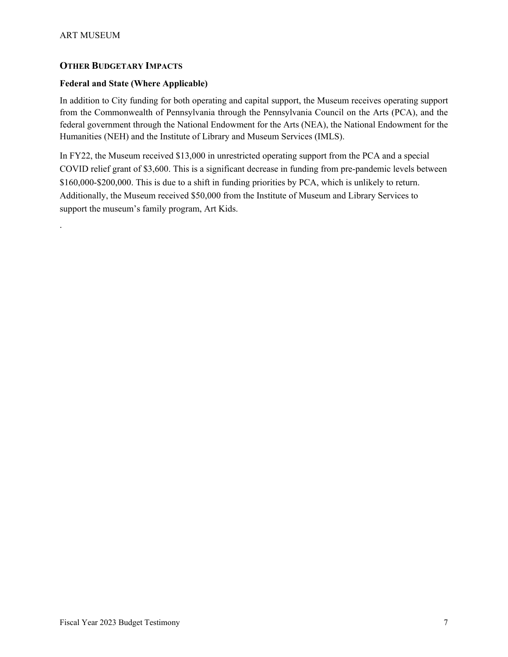.

## **OTHER BUDGETARY IMPACTS**

## **Federal and State (Where Applicable)**

In addition to City funding for both operating and capital support, the Museum receives operating support from the Commonwealth of Pennsylvania through the Pennsylvania Council on the Arts (PCA), and the federal government through the National Endowment for the Arts (NEA), the National Endowment for the Humanities (NEH) and the Institute of Library and Museum Services (IMLS).

In FY22, the Museum received \$13,000 in unrestricted operating support from the PCA and a special COVID relief grant of \$3,600. This is a significant decrease in funding from pre-pandemic levels between \$160,000-\$200,000. This is due to a shift in funding priorities by PCA, which is unlikely to return. Additionally, the Museum received \$50,000 from the Institute of Museum and Library Services to support the museum's family program, Art Kids.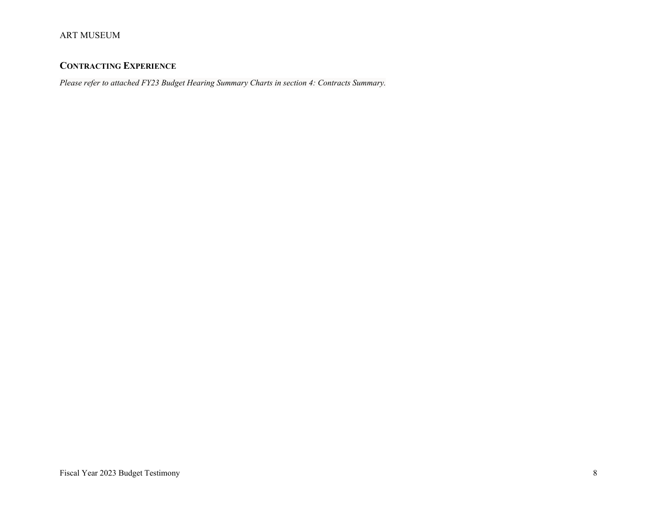# **CONTRACTING EXPERIENCE**

*Please refer to attached FY23 Budget Hearing Summary Charts in section 4: Contracts Summary.*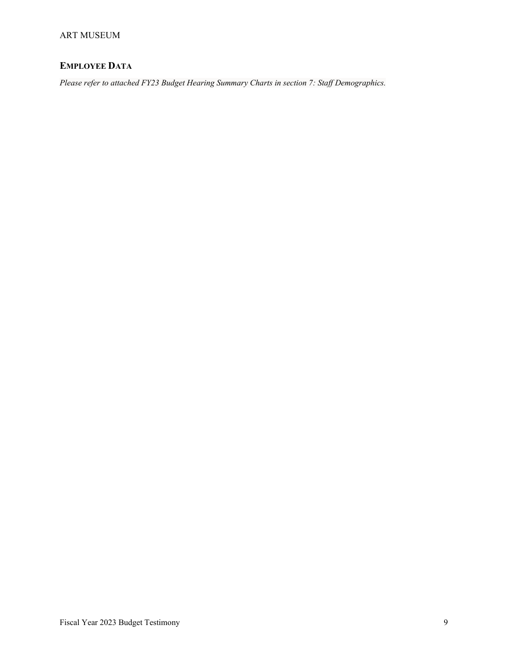# **EMPLOYEE DATA**

*Please refer to attached FY23 Budget Hearing Summary Charts in section 7: Staff Demographics.*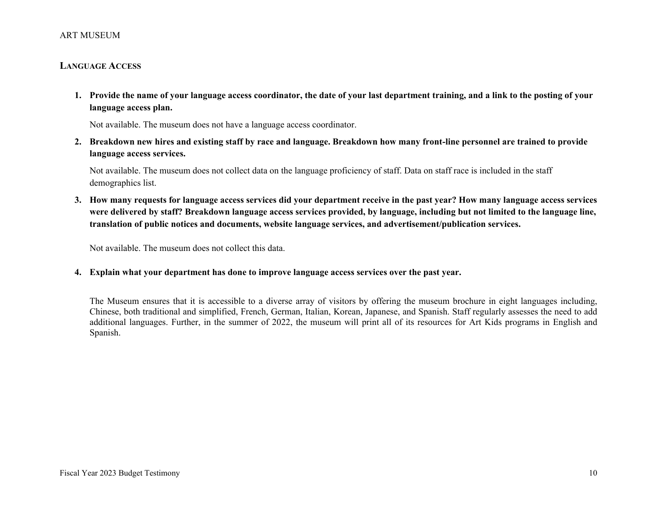#### ART MUSEUM

#### **LANGUAGE ACCESS**

**1. Provide the name of your language access coordinator, the date of your last department training, and a link to the posting of your language access plan.**

Not available. The museum does not have a language access coordinator.

**2. Breakdown new hires and existing staff by race and language. Breakdown how many front-line personnel are trained to provide language access services.**

Not available. The museum does not collect data on the language proficiency of staff. Data on staff race is included in the staff demographics list.

**3. How many requests for language access services did your department receive in the past year? How many language access services were delivered by staff? Breakdown language access services provided, by language, including but not limited to the language line, translation of public notices and documents, website language services, and advertisement/publication services.**

Not available. The museum does not collect this data.

**4. Explain what your department has done to improve language access services over the past year.**

The Museum ensures that it is accessible to a diverse array of visitors by offering the museum brochure in eight languages including, Chinese, both traditional and simplified, French, German, Italian, Korean, Japanese, and Spanish. Staff regularly assesses the need to add additional languages. Further, in the summer of 2022, the museum will print all of its resources for Art Kids programs in English and Spanish.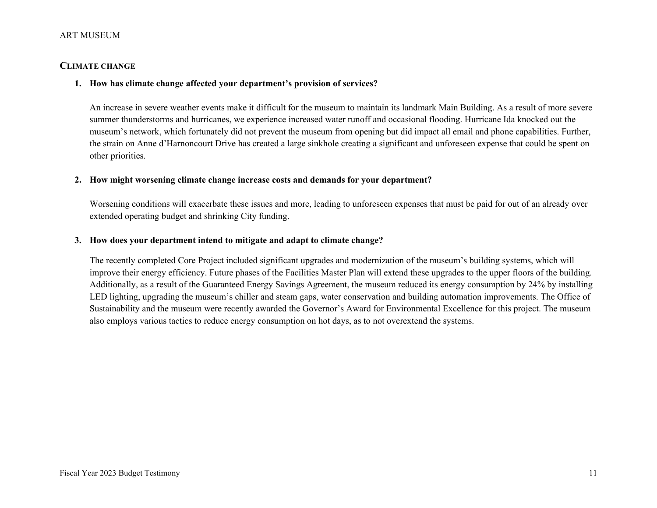#### ART MUSEUM

## **CLIMATE CHANGE**

#### **1. How has climate change affected your department's provision of services?**

An increase in severe weather events make it difficult for the museum to maintain its landmark Main Building. As a result of more severe summer thunderstorms and hurricanes, we experience increased water runoff and occasional flooding. Hurricane Ida knocked out the museum's network, which fortunately did not prevent the museum from opening but did impact all email and phone capabilities. Further, the strain on Anne d'Harnoncourt Drive has created a large sinkhole creating a significant and unforeseen expense that could be spent on other priorities.

#### **2. How might worsening climate change increase costs and demands for your department?**

Worsening conditions will exacerbate these issues and more, leading to unforeseen expenses that must be paid for out of an already over extended operating budget and shrinking City funding.

#### **3. How does your department intend to mitigate and adapt to climate change?**

The recently completed Core Project included significant upgrades and modernization of the museum's building systems, which will improve their energy efficiency. Future phases of the Facilities Master Plan will extend these upgrades to the upper floors of the building. Additionally, as a result of the Guaranteed Energy Savings Agreement, the museum reduced its energy consumption by 24% by installing LED lighting, upgrading the museum's chiller and steam gaps, water conservation and building automation improvements. The Office of Sustainability and the museum were recently awarded the Governor's Award for Environmental Excellence for this project. The museum also employs various tactics to reduce energy consumption on hot days, as to not overextend the systems.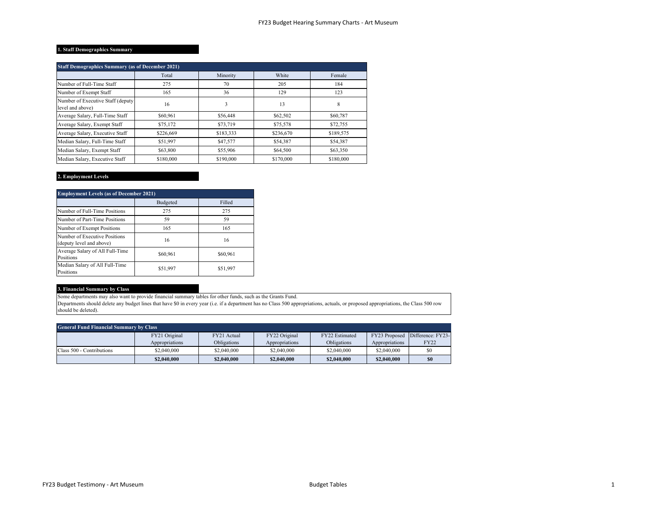#### **1. Staff Demographics Summary**

| <b>Staff Demographics Summary (as of December 2021)</b> |           |           |           |           |  |  |  |
|---------------------------------------------------------|-----------|-----------|-----------|-----------|--|--|--|
|                                                         | Total     | Minority  | White     | Female    |  |  |  |
| Number of Full-Time Staff                               | 275       | 70        | 205       | 184       |  |  |  |
| Number of Exempt Staff                                  | 165       | 36        | 129       | 123       |  |  |  |
| Number of Executive Staff (deputy<br>level and above)   | 16        | 3         | 13        | 8         |  |  |  |
| Average Salary, Full-Time Staff                         | \$60,961  | \$56,448  | \$62,502  | \$60,787  |  |  |  |
| Average Salary, Exempt Staff                            | \$75,172  | \$73,719  | \$75,578  | \$72,755  |  |  |  |
| Average Salary, Executive Staff                         | \$226,669 | \$183,333 | \$236,670 | \$189,575 |  |  |  |
| Median Salary, Full-Time Staff                          | \$51.997  | \$47,577  | \$54,387  | \$54,387  |  |  |  |
| Median Salary, Exempt Staff                             | \$63,800  | \$55,906  | \$64,500  | \$63,350  |  |  |  |
| Median Salary, Executive Staff                          | \$180,000 | \$190,000 | \$170,000 | \$180,000 |  |  |  |

#### **2. Employment Levels**

| <b>Employment Levels (as of December 2021)</b>            |          |          |  |  |  |
|-----------------------------------------------------------|----------|----------|--|--|--|
|                                                           | Budgeted | Filled   |  |  |  |
| Number of Full-Time Positions                             | 275      | 275      |  |  |  |
| Number of Part-Time Positions                             | 59       | 59       |  |  |  |
| Number of Exempt Positions                                | 165      | 165      |  |  |  |
| Number of Executive Positions<br>(deputy level and above) | 16       | 16       |  |  |  |
| Average Salary of All Full-Time<br>Positions              | \$60,961 | \$60,961 |  |  |  |
| Median Salary of All Full-Time<br>Positions               | \$51,997 | \$51,997 |  |  |  |

#### **3. Financial Summary by Class**

Some departments may also want to provide financial summary tables for other funds, such as the Grants Fund.

Departments should delete any budget lines that have \$0 in every year (i.e. if a department has no Class 500 appropriations, actuals, or proposed appropriations, the Class 500 row should be deleted).

| <b>General Fund Financial Summary by Class</b> |                |                    |                |                |                |                                 |  |
|------------------------------------------------|----------------|--------------------|----------------|----------------|----------------|---------------------------------|--|
|                                                | FY21 Original  | FY21 Actual        | FY22 Original  | FY22 Estimated |                | FY23 Proposed Difference: FY23- |  |
|                                                | Appropriations | <b>Obligations</b> | Appropriations | Obligations    | Appropriations | <b>FY22</b>                     |  |
| Class 500 - Contributions                      | \$2,040,000    | \$2,040,000        | \$2,040,000    | \$2,040,000    | \$2,040,000    |                                 |  |
|                                                | \$2,040,000    | \$2,040,000        | \$2,040,000    | \$2,040,000    | \$2,040,000    | S <sub>0</sub>                  |  |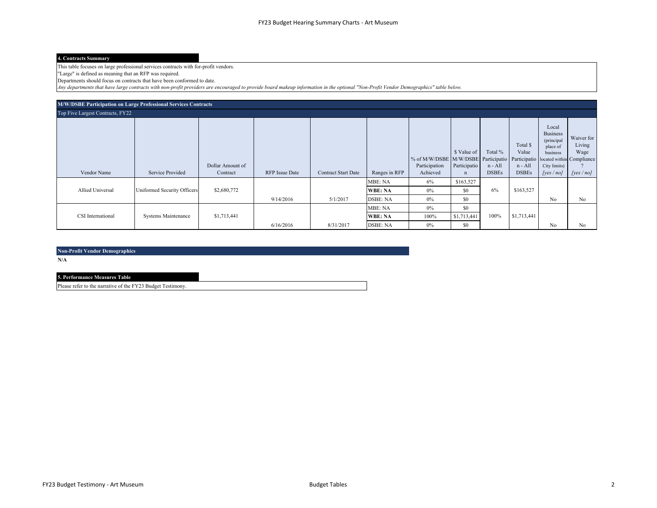#### **4. Contracts Summary**

This table focuses on large professional services contracts with for-profit vendors.

"Large" is defined as meaning that an RFP was required.

Departments should focus on contracts that have been conformed to date.

*Any departments that have large contracts with non-profit providers are encouraged to provide board makeup information in the optional "Non-Profit Vendor Demographics" table below.*

| M/W/DSBE Participation on Large Professional Services Contracts |                             |                              |                       |                            |                 |                                                                                                         |                                            |                                    |                                              |                                                                                            |                                              |
|-----------------------------------------------------------------|-----------------------------|------------------------------|-----------------------|----------------------------|-----------------|---------------------------------------------------------------------------------------------------------|--------------------------------------------|------------------------------------|----------------------------------------------|--------------------------------------------------------------------------------------------|----------------------------------------------|
| Top Five Largest Contracts, FY22                                |                             |                              |                       |                            |                 |                                                                                                         |                                            |                                    |                                              |                                                                                            |                                              |
| Vendor Name                                                     | Service Provided            | Dollar Amount of<br>Contract | <b>RFP</b> Issue Date | <b>Contract Start Date</b> | Ranges in RFP   | % of M/W/DSBE M/W/DSBE Participatio Participatio located within Compliance<br>Participation<br>Achieved | \$ Value of<br>Participatio<br>$\mathbf n$ | Total %<br>n - All<br><b>DSBEs</b> | Total \$<br>Value<br>n - All<br><b>DSBEs</b> | Local<br><b>Business</b><br>(principal<br>place of<br>business<br>City limits)<br>[yes/no] | Waiver for<br>Living<br>Wage<br>[yes $/$ no] |
|                                                                 |                             |                              |                       |                            | MBE: NA         | 6%                                                                                                      | \$163,527                                  |                                    |                                              |                                                                                            |                                              |
| Allied Universal                                                | Uniformed Security Officers | \$2,680,772                  |                       |                            | <b>WBE: NA</b>  | 0%                                                                                                      | \$0                                        | 6%                                 | \$163,527                                    |                                                                                            |                                              |
|                                                                 |                             |                              | 9/14/2016             | 5/1/2017                   | <b>DSBE: NA</b> | 0%                                                                                                      | \$0                                        |                                    |                                              | No                                                                                         | No                                           |
|                                                                 |                             |                              |                       |                            | MBE: NA         | $0\%$                                                                                                   | \$0                                        |                                    |                                              |                                                                                            |                                              |
| CSI International                                               | <b>Systems Maintenance</b>  | \$1,713,441                  |                       |                            | <b>WBE: NA</b>  | 100%                                                                                                    | \$1,713,441                                | 100%                               | \$1,713,441                                  |                                                                                            |                                              |
|                                                                 |                             |                              | 6/16/2016             | 8/31/2017                  | <b>DSBE: NA</b> | $0\%$                                                                                                   | \$0                                        |                                    |                                              | No                                                                                         | No                                           |

**Non-Profit Vendor Demographics**

**N/A**

#### **5. Performance Measures Table**

Please refer to the narrative of the FY23 Budget Testimony.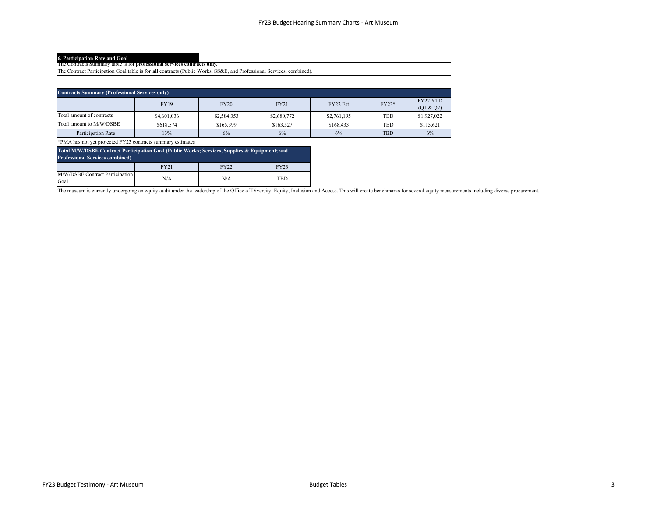**6. Participation Rate and Goal** The Contracts Summary table is for **professional services contracts only**.

The Contract Participation Goal table is for **all** contracts (Public Works, SS&E, and Professional Services, combined).

| <b>Contracts Summary (Professional Services only)</b> |             |             |             |             |         |                        |
|-------------------------------------------------------|-------------|-------------|-------------|-------------|---------|------------------------|
|                                                       | <b>FY19</b> | <b>FY20</b> | <b>FY21</b> | FY22 Est    | $FY23*$ | FY22 YTD<br>(Q1 & 2Q2) |
| Total amount of contracts                             | \$4,601,036 | \$2,584,353 | \$2,680,772 | \$2,761,195 | TBD     | \$1,927,022            |
| Total amount to M/W/DSBE                              | \$618,574   | \$165,399   | \$163,527   | \$168,433   | TBD     | \$115,621              |
| Participation Rate                                    | 13%         | 6%          | 6%          | 6%          | TBD     | 6%                     |

\*PMA has not yet projected FY23 contracts summary estimates

| Total M/W/DSBE Contract Participation Goal (Public Works; Services, Supplies & Equipment; and<br><b>Professional Services combined)</b> |             |      |      |  |
|-----------------------------------------------------------------------------------------------------------------------------------------|-------------|------|------|--|
|                                                                                                                                         | <b>FY21</b> | FY22 | FY23 |  |
| M/W/DSBE Contract Participation<br>Goal                                                                                                 | N/A         | N/A  | TBD  |  |

The museum is currently undergoing an equity audit under the leadership of the Office of Diversity, Equity, Inclusion and Access. This will create benchmarks for several equity measurements including diverse procurement.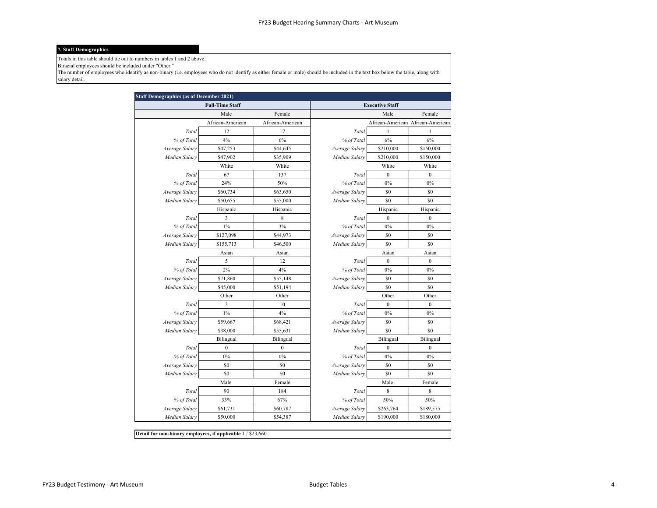#### **7. Staff Demographics**

Totals in this table should tie out to numbers in tables 1 and 2 above.

Biracial employees should be included under "Other."

The number of employees who identify as non-binary (i.e. employees who do not identify as either female or male) should be included in the text box below the table, along with salary detail.

| <b>Staff Demographics (as of December 2021)</b> |                        |                  |                |                        |                                   |
|-------------------------------------------------|------------------------|------------------|----------------|------------------------|-----------------------------------|
|                                                 | <b>Full-Time Staff</b> |                  |                | <b>Executive Staff</b> |                                   |
|                                                 | Male                   | Female           |                | Male                   | Female                            |
|                                                 | African-American       | African-American |                |                        | African-American African-American |
| Total                                           | 12                     | 17               | Total          | $\mathbf{1}$           | $\mathbf{1}$                      |
| % of Total                                      | 4%                     | 6%               | % of Total     | 6%                     | 6%                                |
| Average Salary                                  | \$47,253               | \$44,645         | Average Salary | \$210,000              | \$150,000                         |
| Median Salary                                   | \$47,902               | \$35,909         | Median Salary  | \$210,000              | \$150,000                         |
|                                                 | White                  | White            |                | White                  | White                             |
| Total                                           | 67                     | 137              | Total          | $\boldsymbol{0}$       | $\boldsymbol{0}$                  |
| % of Total                                      | 24%                    | 50%              | % of Total     | 0%                     | $0\%$                             |
| Average Salary                                  | \$60,734               | \$63,650         | Average Salary | \$0                    | \$0                               |
| Median Salary                                   | \$50,655               | \$55,000         | Median Salary  | \$0                    | \$0                               |
|                                                 | Hispanic               | Hispanic         |                | Hispanic               | Hispanic                          |
| Total                                           | $\sqrt{3}$             | 8                | Total          | $\boldsymbol{0}$       | $\boldsymbol{0}$                  |
| % of Total                                      | $1\%$                  | 3%               | % of Total     | 0%                     | $0\%$                             |
| Average Salary                                  | \$127,098              | \$44,973         | Average Salary | \$0                    | \$0                               |
| Median Salary                                   | \$155,713              | \$46,500         | Median Salary  | \$0                    | \$0                               |
|                                                 | Asian                  | Asian            |                | Asian                  | Asian                             |
| Total                                           | 5                      | 12               | Total          | $\boldsymbol{0}$       | $\boldsymbol{0}$                  |
| % of Total                                      | 2%                     | 4%               | % of Total     | $0\%$                  | $0\%$                             |
| Average Salary                                  | \$71,860               | \$55,148         | Average Salary | \$0                    | \$0                               |
| Median Salary                                   | \$45,000               | \$51,194         | Median Salary  | \$0                    | \$0                               |
|                                                 | Other                  | Other            |                | Other                  | Other                             |
| Total                                           | $\mathfrak{Z}$         | 10               | Total          | $\boldsymbol{0}$       | $\boldsymbol{0}$                  |
| % of Total                                      | $1\%$                  | 4%               | % of Total     | $0\%$                  | $0\%$                             |
| Average Salary                                  | \$59,667               | \$68,421         | Average Salary | \$0                    | \$0                               |
| Median Salary                                   | \$38,000               | \$55,631         | Median Salary  | \$0                    | \$0                               |
|                                                 | Bilingual              | Bilingual        |                | Bilingual              | Bilingual                         |
| Total                                           | $\boldsymbol{0}$       | $\boldsymbol{0}$ | Total          | $\boldsymbol{0}$       | $\boldsymbol{0}$                  |
| % of Total                                      | $0\%$                  | 0%               | % of Total     | 0%                     | 0%                                |
| Average Salary                                  | \$0                    | \$0              | Average Salary | \$0                    | \$0                               |
| Median Salary                                   | \$0                    | \$0              | Median Salary  | \$0                    | \$0                               |
|                                                 | Male                   | Female           |                | Male                   | Female                            |
| Total                                           | 90                     | 184              | Total          | 8                      | 8                                 |
| % of Total                                      | 33%                    | 67%              | % of Total     | 50%                    | 50%                               |
| Average Salary                                  | \$61,731               | \$60,787         | Average Salary | \$263,764              | \$189,575                         |
| Median Salary                                   | \$50,000               | \$54,387         | Median Salary  | \$190,000              | \$180,000                         |

**Detail for non-binary employees, if applicable**  $1 / $23,660$